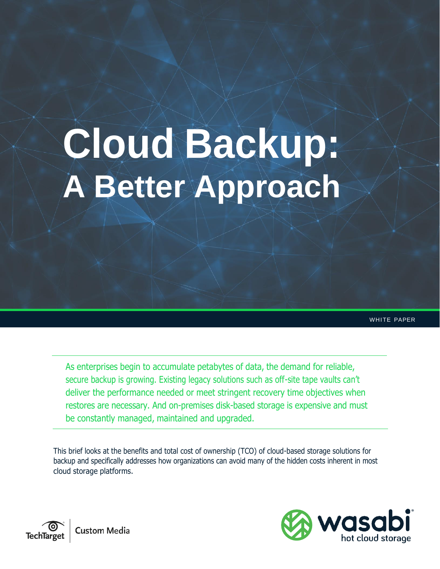# **Cloud Backup: A Better Approach**

WHITE PAPER

As enterprises begin to accumulate petabytes of data, the demand for reliable, secure backup is growing. Existing legacy solutions such as off-site tape vaults can't deliver the performance needed or meet stringent recovery time objectives when restores are necessary. And on-premises disk-based storage is expensive and must be constantly managed, maintained and upgraded.

This brief looks at the benefits and total cost of ownership (TCO) of cloud-based storage solutions for backup and specifically addresses how organizations can avoid many of the hidden costs inherent in most cloud storage platforms.



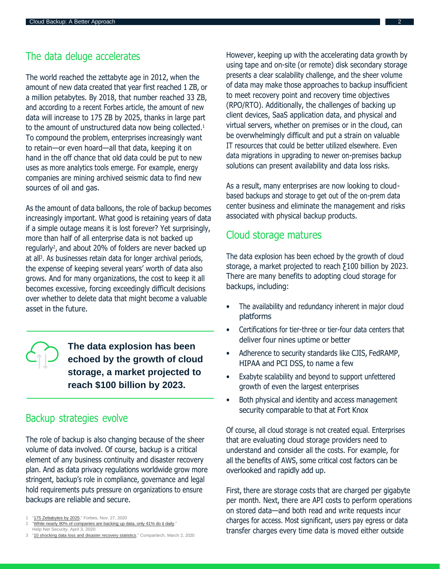## The data deluge accelerates

The world reached the zettabyte age in 2012, when the amount of new data created that year first reached 1 ZB, or a million petabytes. By 2018, that number reached 33 ZB, and according to a recent Forbes article, the amount of new data will increase to 175 ZB by 2025, thanks in large part to the amount of unstructured data now being collected.<sup>1</sup> To compound the problem, enterprises increasingly want to retain—or even hoard—all that data, keeping it on hand in the off chance that old data could be put to new uses as more analytics tools emerge. For example, energy companies are mining archived seismic data to find new sources of oil and gas.

As the amount of data balloons, the role of backup becomes increasingly important. What good is retaining years of data if a simple outage means it is lost forever? Yet surprisingly, more than half of all enterprise data is not backed up regularly<sup>2</sup>, and about 20% of folders are never backed up at all<sup>3</sup>. As businesses retain data for longer archival periods, the expense of keeping several years' worth of data also grows. And for many organizations, the cost to keep it all becomes excessive, forcing exceedingly difficult decisions over whether to delete data that might become a valuable asset in the future.

> **The data explosion has been echoed by the growth of cloud storage, a market projected to reach \$100 billion by 2023.**

### Backup strategies evolve

The role of backup is also changing because of the sheer volume of data involved. Of course, backup is a critical element of any business continuity and disaster recovery plan. And as data privacy regulations worldwide grow more stringent, backup's role in compliance, governance and legal hold requirements puts pressure on organizations to ensure backups are reliable and secure.

"While nearly 90% of [companies](https://www.helpnetsecurity.com/2020/04/03/back-up-data/) are backing up data, only 41% do it daily," Help Net Security, April 3, 2020

However, keeping up with the accelerating data growth by using tape and on-site (or remote) disk secondary storage presents a clear scalability challenge, and the sheer volume of data may make those approaches to backup insufficient to meet recovery point and recovery time objectives (RPO/RTO). Additionally, the challenges of backing up client devices, SaaS application data, and physical and virtual servers, whether on premises or in the cloud, can be overwhelmingly difficult and put a strain on valuable IT resources that could be better utilized elsewhere. Even data migrations in upgrading to newer on-premises backup solutions can present availability and data loss risks.

As a result, many enterprises are now looking to cloudbased backups and storage to get out of the on-prem data center business and eliminate the management and risks associated with physical backup products.

### Cloud storage matures

The data explosion has been echoed by the growth of cloud storage, a market projected to reach Ƹ100 billion by 2023. There are many benefits to adopting cloud storage for backups, including:

- The availability and redundancy inherent in major cloud platforms
- Certifications for tier-three or tier-four data centers that deliver four nines uptime or better
- Adherence to security standards like CJIS, FedRAMP, HIPAA and PCI DSS, to name a few
- Exabyte scalability and beyond to support unfettered growth of even the largest enterprises
- Both physical and identity and access management security comparable to that at Fort Knox

Of course, all cloud storage is not created equal. Enterprises that are evaluating cloud storage providers need to understand and consider all the costs. For example, for all the benefits of AWS, some critical cost factors can be overlooked and rapidly add up.

First, there are storage costs that are charged per gigabyte per month. Next, there are API costs to perform operations on stored data—and both read and write requests incur charges for access. Most significant, users pay egress or data transfer charges every time data is moved either outside

<sup>&</sup>quot;175 Zettabytes by 2025," Forbes, Nov. 27, 2020

<sup>3</sup> "10 shocking data loss and disaster recovery [statistics,"](https://www.comparitech.com/data-recovery-software/disaster-recovery-data-loss-statistics/) Comparitech, March 2, 2020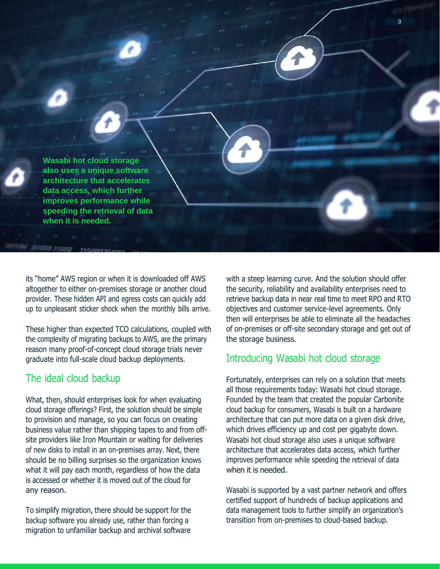**Wasabi hot cloud storage also uses a unique software architecture that accelerates data access, which further improves performance while speeding the retrieval of data when it is needed.**

its "home" AWS region or when it is downloaded off AWS altogether to either on-premises storage or another cloud provider. These hidden API and egress costs can quickly add up to unpleasant sticker shock when the monthly bills arrive.

These higher than expected TCO calculations, coupled with the complexity of migrating backups to AWS, are the primary reason many proof-of-concept cloud storage trials never graduate into full-scale cloud backup deployments.

## The ideal cloud backup

What, then, should enterprises look for when evaluating cloud storage offerings? First, the solution should be simple to provision and manage, so you can focus on creating business value rather than shipping tapes to and from offsite providers like Iron Mountain or waiting for deliveries of new disks to install in an on-premises array. Next, there should be no billing surprises so the organization knows what it will pay each month, regardless of how the data is accessed or whether it is moved out of the cloud for any reason.

To simplify migration, there should be support for the backup software you already use, rather than forcing a migration to unfamiliar backup and archival software with a steep learning curve. And the solution should offer the security, reliability and availability enterprises need to retrieve backup data in near real time to meet RPO and RTO objectives and customer service-level agreements. Only then will enterprises be able to eliminate all the headaches of on-premises or off-site secondary storage and get out of the storage business.

3

## Introducing Wasabi hot cloud storage

Fortunately, enterprises can rely on a solution that meets all those requirements today: Wasabi hot cloud storage. Founded by the team that created the popular Carbonite cloud backup for consumers, Wasabi is built on a hardware architecture that can put more data on a given disk drive, which drives efficiency up and cost per gigabyte down. Wasabi hot cloud storage also uses a unique software architecture that accelerates data access, which further improves performance while speeding the retrieval of data when it is needed.

Wasabi is supported by a vast partner network and offers certified support of hundreds of backup applications and data management tools to further simplify an organization's transition from on-premises to cloud-based backup.